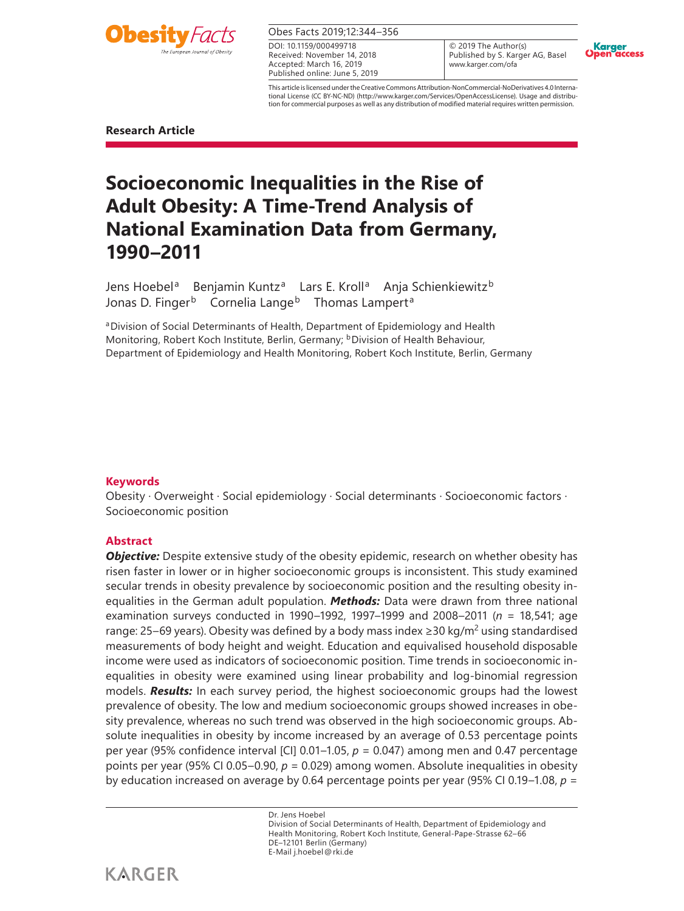

Obes Facts 2019;12:344–356

Received: November 14, 2018 Accepted: March 16, 2019 Published online: June 5, 2019 DOI: 10.1159/000499718

© 2019 The Author(s) Published by S. Karger AG, Basel www.karger.com/ofa



This article is licensed under the Creative Commons Attribution-NonCommercial-NoDerivatives 4.0 International License (CC BY-NC-ND) (http://www.karger.com/Services/OpenAccessLicense). Usage and distribution for commercial purposes as well as any distribution of modified material requires written permission.

**Research Article**

# **Socioeconomic Inequalities in the Rise of Adult Obesity: A Time-Trend Analysis of National Examination Data from Germany, 1990–2011**

Jens Hoebel<sup>a</sup> Benjamin Kuntz<sup>a</sup> Lars E. Kroll<sup>a</sup> Anja Schienkiewitz<sup>b</sup> Jonas D. Finger<sup>b</sup> Cornelia Lange<sup>b</sup> Thomas Lampert<sup>a</sup>

aDivision of Social Determinants of Health, Department of Epidemiology and Health Monitoring, Robert Koch Institute, Berlin, Germany; <sup>b</sup>Division of Health Behaviour, Department of Epidemiology and Health Monitoring, Robert Koch Institute, Berlin, Germany

# **Keywords**

Obesity · Overweight · Social epidemiology · Social determinants · Socioeconomic factors · Socioeconomic position

# **Abstract**

**Objective:** Despite extensive study of the obesity epidemic, research on whether obesity has risen faster in lower or in higher socioeconomic groups is inconsistent. This study examined secular trends in obesity prevalence by socioeconomic position and the resulting obesity inequalities in the German adult population. *Methods:* Data were drawn from three national examination surveys conducted in 1990–1992, 1997–1999 and 2008–2011 (*n* = 18,541; age range: 25–69 years). Obesity was defined by a body mass index  $\geq$ 30 kg/m<sup>2</sup> using standardised measurements of body height and weight. Education and equivalised household disposable income were used as indicators of socioeconomic position. Time trends in socioeconomic inequalities in obesity were examined using linear probability and log-binomial regression models. *Results:* In each survey period, the highest socioeconomic groups had the lowest prevalence of obesity. The low and medium socioeconomic groups showed increases in obesity prevalence, whereas no such trend was observed in the high socioeconomic groups. Absolute inequalities in obesity by income increased by an average of 0.53 percentage points per year (95% confidence interval [CI] 0.01–1.05, *p* = 0.047) among men and 0.47 percentage points per year (95% CI 0.05–0.90, *p* = 0.029) among women. Absolute inequalities in obesity by education increased on average by 0.64 percentage points per year (95% CI 0.19–1.08, *p* =

> Dr. Jens Hoebel Division of Social Determinants of Health, Department of Epidemiology and Health Monitoring, Robert Koch Institute, General-Pape-Strasse 62–66 DE–12101 Berlin (Germany) E-Mail j.hoebel@rki.de

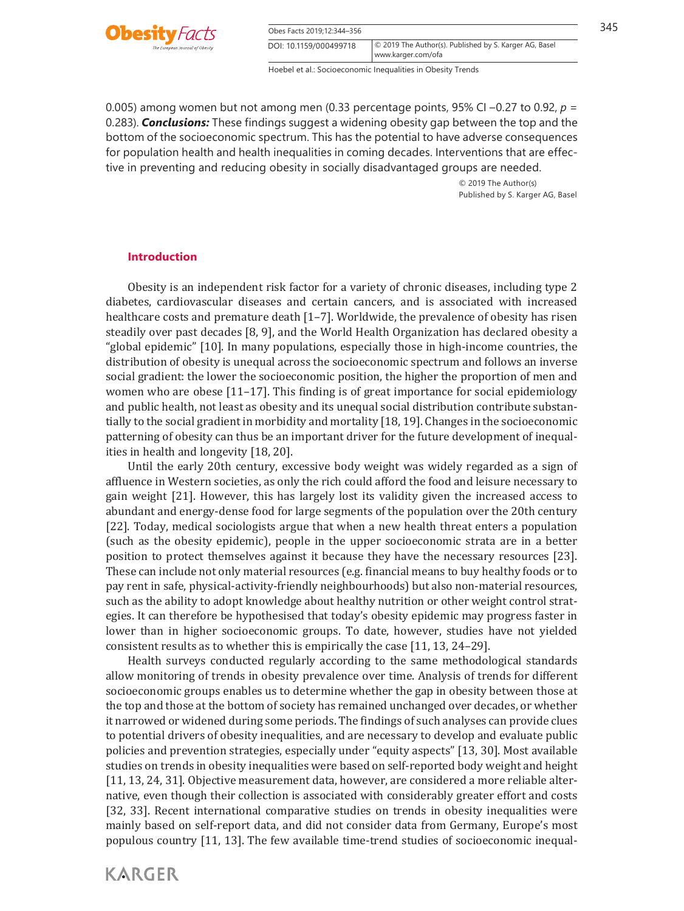

| Obes Facts 2019:12:344-356 |                                                                              |
|----------------------------|------------------------------------------------------------------------------|
| DOI: 10.1159/000499718     | © 2019 The Author(s). Published by S. Karger AG, Basel<br>www.karger.com/ofa |

0.005) among women but not among men (0.33 percentage points, 95% CI –0.27 to 0.92, *p* = 0.283). *Conclusions:* These findings suggest a widening obesity gap between the top and the bottom of the socioeconomic spectrum. This has the potential to have adverse consequences for population health and health inequalities in coming decades. Interventions that are effective in preventing and reducing obesity in socially disadvantaged groups are needed.

> © 2019 The Author(s) Published by S. Karger AG, Basel

## **Introduction**

Obesity is an independent risk factor for a variety of chronic diseases, including type 2 diabetes, cardiovascular diseases and certain cancers, and is associated with increased healthcare costs and premature death [1–7]. Worldwide, the prevalence of obesity has risen steadily over past decades [8, 9], and the World Health Organization has declared obesity a "global epidemic" [10]. In many populations, especially those in high-income countries, the distribution of obesity is unequal across the socioeconomic spectrum and follows an inverse social gradient: the lower the socioeconomic position, the higher the proportion of men and women who are obese [11–17]. This finding is of great importance for social epidemiology and public health, not least as obesity and its unequal social distribution contribute substantially to the social gradient in morbidity and mortality [18, 19]. Changes in the socioeconomic patterning of obesity can thus be an important driver for the future development of inequalities in health and longevity [18, 20].

Until the early 20th century, excessive body weight was widely regarded as a sign of affluence in Western societies, as only the rich could afford the food and leisure necessary to gain weight [21]. However, this has largely lost its validity given the increased access to abundant and energy-dense food for large segments of the population over the 20th century [22]. Today, medical sociologists argue that when a new health threat enters a population (such as the obesity epidemic), people in the upper socioeconomic strata are in a better position to protect themselves against it because they have the necessary resources [23]. These can include not only material resources (e.g. financial means to buy healthy foods or to pay rent in safe, physical-activity-friendly neighbourhoods) but also non-material resources, such as the ability to adopt knowledge about healthy nutrition or other weight control strategies. It can therefore be hypothesised that today's obesity epidemic may progress faster in lower than in higher socioeconomic groups. To date, however, studies have not yielded consistent results as to whether this is empirically the case [11, 13, 24–29].

Health surveys conducted regularly according to the same methodological standards allow monitoring of trends in obesity prevalence over time. Analysis of trends for different socioeconomic groups enables us to determine whether the gap in obesity between those at the top and those at the bottom of society has remained unchanged over decades, or whether it narrowed or widened during some periods. The findings of such analyses can provide clues to potential drivers of obesity inequalities, and are necessary to develop and evaluate public policies and prevention strategies, especially under "equity aspects" [13, 30]. Most available studies on trends in obesity inequalities were based on self-reported body weight and height [11, 13, 24, 31]. Objective measurement data, however, are considered a more reliable alternative, even though their collection is associated with considerably greater effort and costs [32, 33]. Recent international comparative studies on trends in obesity inequalities were mainly based on self-report data, and did not consider data from Germany, Europe's most populous country [11, 13]. The few available time-trend studies of socioeconomic inequal-

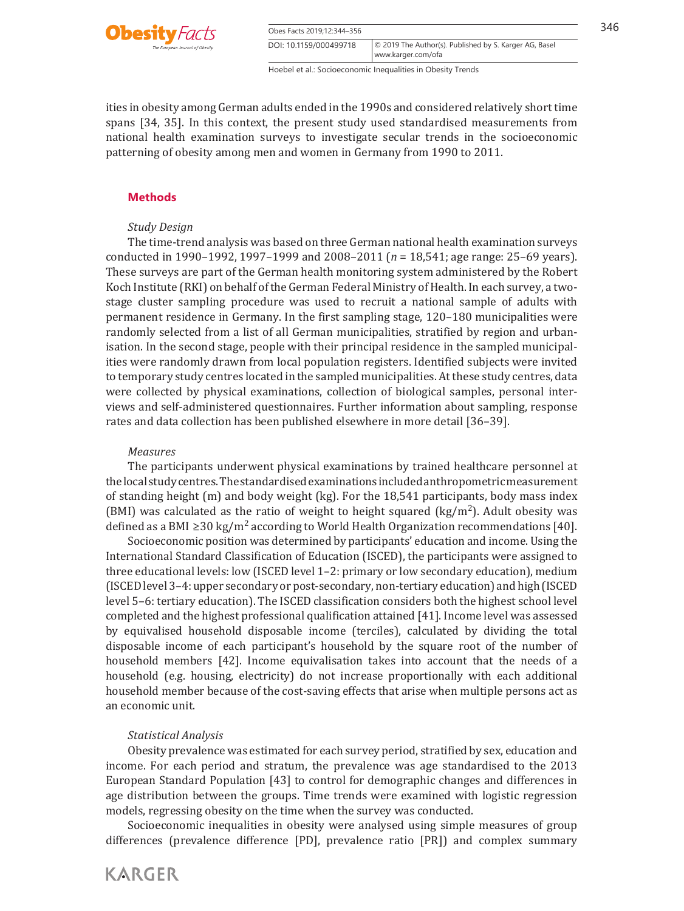

Obes Facts 2019;12:344–356 346

www.karger.com/ofa DOI: 10.1159/000499718 © 2019 The Author(s). Published by S. Karger AG, Basel

Hoebel et al.: Socioeconomic Inequalities in Obesity Trends

ities in obesity among German adults ended in the 1990s and considered relatively short time spans [34, 35]. In this context, the present study used standardised measurements from national health examination surveys to investigate secular trends in the socioeconomic patterning of obesity among men and women in Germany from 1990 to 2011.

## **Methods**

## *Study Design*

The time-trend analysis was based on three German national health examination surveys conducted in 1990–1992, 1997–1999 and 2008–2011 (*n* = 18,541; age range: 25–69 years). These surveys are part of the German health monitoring system administered by the Robert Koch Institute (RKI) on behalf of the German Federal Ministry of Health. In each survey, a twostage cluster sampling procedure was used to recruit a national sample of adults with permanent residence in Germany. In the first sampling stage, 120–180 municipalities were randomly selected from a list of all German municipalities, stratified by region and urbanisation. In the second stage, people with their principal residence in the sampled municipalities were randomly drawn from local population registers. Identified subjects were invited to temporary study centres located in the sampled municipalities. At these study centres, data were collected by physical examinations, collection of biological samples, personal interviews and self-administered questionnaires. Further information about sampling, response rates and data collection has been published elsewhere in more detail [36–39].

## *Measures*

The participants underwent physical examinations by trained healthcare personnel at the local study centres. The standardised examinations included anthropometric measurement of standing height (m) and body weight (kg). For the 18,541 participants, body mass index (BMI) was calculated as the ratio of weight to height squared (kg/m<sup>2</sup>). Adult obesity was defined as a BMI  $\geq$ 30 kg/m<sup>2</sup> according to World Health Organization recommendations [40].

Socioeconomic position was determined by participants' education and income. Using the International Standard Classification of Education (ISCED), the participants were assigned to three educational levels: low (ISCED level 1–2: primary or low secondary education), medium (ISCED level 3–4: upper secondary or post-secondary, non-tertiary education) and high (ISCED level 5–6: tertiary education). The ISCED classification considers both the highest school level completed and the highest professional qualification attained [41]. Income level was assessed by equivalised household disposable income (terciles), calculated by dividing the total disposable income of each participant's household by the square root of the number of household members [42]. Income equivalisation takes into account that the needs of a household (e.g. housing, electricity) do not increase proportionally with each additional household member because of the cost-saving effects that arise when multiple persons act as an economic unit.

## *Statistical Analysis*

**KARGER** 

Obesity prevalence was estimated for each survey period, stratified by sex, education and income. For each period and stratum, the prevalence was age standardised to the 2013 European Standard Population [43] to control for demographic changes and differences in age distribution between the groups. Time trends were examined with logistic regression models, regressing obesity on the time when the survey was conducted.

Socioeconomic inequalities in obesity were analysed using simple measures of group differences (prevalence difference [PD], prevalence ratio [PR]) and complex summary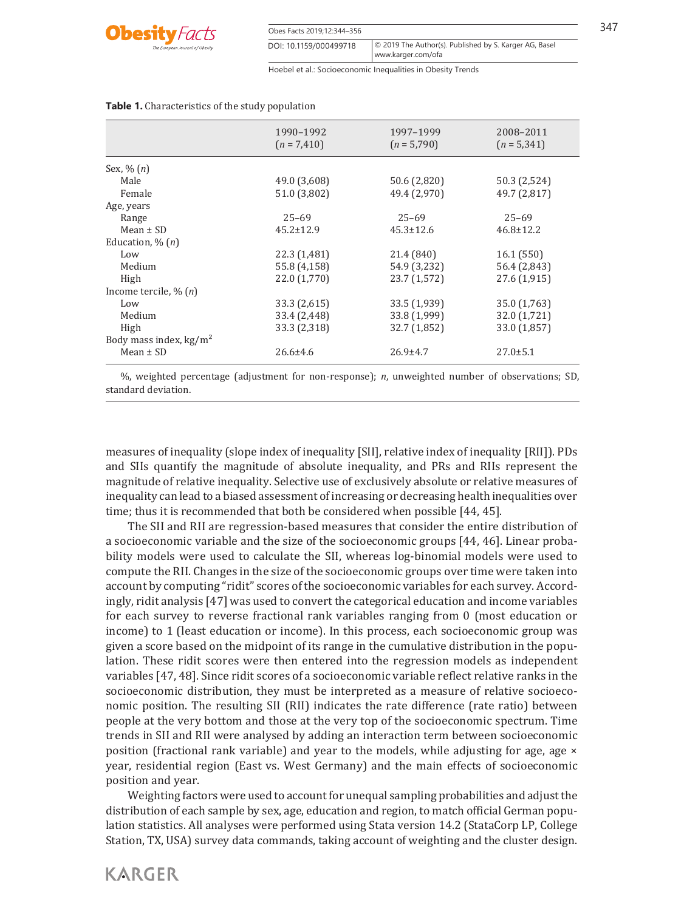

| Obes Facts 2019;12:344-356 |                                                                              | 347 |
|----------------------------|------------------------------------------------------------------------------|-----|
| DOI: 10.1159/000499718     | © 2019 The Author(s). Published by S. Karger AG, Basel<br>www.karger.com/ofa |     |

|                                    | 1990-1992<br>$(n = 7,410)$ | 1997-1999<br>$(n = 5,790)$ | 2008-2011<br>$(n = 5,341)$ |
|------------------------------------|----------------------------|----------------------------|----------------------------|
| Sex, $\% (n)$                      |                            |                            |                            |
| Male                               | 49.0 (3,608)               | 50.6 (2,820)               | 50.3 (2,524)               |
| Female                             | 51.0 (3,802)               | 49.4 (2,970)               | 49.7 (2,817)               |
| Age, years                         |                            |                            |                            |
| Range                              | $25 - 69$                  | $25 - 69$                  | $25 - 69$                  |
| Mean $\pm$ SD                      | $45.2 \pm 12.9$            | $45.3 \pm 12.6$            | $46.8 \pm 12.2$            |
| Education, $\%$ $(n)$              |                            |                            |                            |
| Low                                | 22.3 (1,481)               | 21.4 (840)                 | 16.1 (550)                 |
| Medium                             | 55.8 (4,158)               | 54.9 (3,232)               | 56.4 (2,843)               |
| High                               | 22.0 (1,770)               | 23.7 (1,572)               | 27.6 (1,915)               |
| Income tercile, $\%$ $(n)$         |                            |                            |                            |
| Low                                | 33.3 (2,615)               | 33.5 (1,939)               | 35.0 (1,763)               |
| Medium                             | 33.4 (2,448)               | 33.8 (1,999)               | 32.0 (1,721)               |
| High                               | 33.3 (2,318)               | 32.7 (1,852)               | 33.0 (1,857)               |
| Body mass index, kg/m <sup>2</sup> |                            |                            |                            |
| Mean $\pm$ SD                      | $26.6 \pm 4.6$             | $26.9 + 4.7$               | $27.0 \pm 5.1$             |

#### **Table 1.** Characteristics of the study population

%, weighted percentage (adjustment for non-response); *n*, unweighted number of observations; SD, standard deviation.

measures of inequality (slope index of inequality [SII], relative index of inequality [RII]). PDs and SIIs quantify the magnitude of absolute inequality, and PRs and RIIs represent the magnitude of relative inequality. Selective use of exclusively absolute or relative measures of inequality can lead to a biased assessment of increasing or decreasing health inequalities over time; thus it is recommended that both be considered when possible [44, 45].

The SII and RII are regression-based measures that consider the entire distribution of a socioeconomic variable and the size of the socioeconomic groups [44, 46]. Linear probability models were used to calculate the SII, whereas log-binomial models were used to compute the RII. Changes in the size of the socioeconomic groups over time were taken into account by computing "ridit" scores of the socioeconomic variables for each survey. Accordingly, ridit analysis [47] was used to convert the categorical education and income variables for each survey to reverse fractional rank variables ranging from 0 (most education or income) to 1 (least education or income). In this process, each socioeconomic group was given a score based on the midpoint of its range in the cumulative distribution in the population. These ridit scores were then entered into the regression models as independent variables [47, 48]. Since ridit scores of a socioeconomic variable reflect relative ranks in the socioeconomic distribution, they must be interpreted as a measure of relative socioeconomic position. The resulting SII (RII) indicates the rate difference (rate ratio) between people at the very bottom and those at the very top of the socioeconomic spectrum. Time trends in SII and RII were analysed by adding an interaction term between socioeconomic position (fractional rank variable) and year to the models, while adjusting for age, age × year, residential region (East vs. West Germany) and the main effects of socioeconomic position and year.

Weighting factors were used to account for unequal sampling probabilities and adjust the distribution of each sample by sex, age, education and region, to match official German population statistics. All analyses were performed using Stata version 14.2 (StataCorp LP, College Station, TX, USA) survey data commands, taking account of weighting and the cluster design.

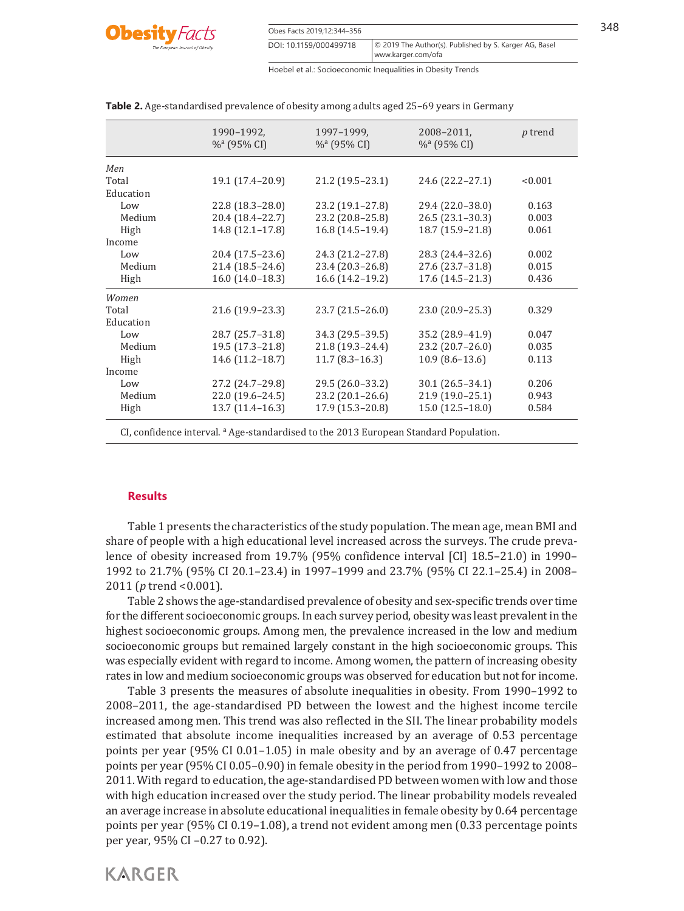

Obes Facts 2019;12:344–356 348 www.karger.com/ofa DOI: 10.1159/000499718 © 2019 The Author(s). Published by S. Karger AG, Basel

Hoebel et al.: Socioeconomic Inequalities in Obesity Trends

|           | 1990-1992,<br>$%^{a}$ (95% CI) | 1997-1999,<br>$%^{a}$ (95% CI) | 2008-2011,<br>$% ^a$ (95% CI) | <i>p</i> trend |
|-----------|--------------------------------|--------------------------------|-------------------------------|----------------|
| Men       |                                |                                |                               |                |
| Total     | 19.1 (17.4–20.9)               | $21.2(19.5 - 23.1)$            | 24.6 (22.2–27.1)              | < 0.001        |
| Education |                                |                                |                               |                |
| Low       | $22.8(18.3 - 28.0)$            | 23.2 (19.1-27.8)               | 29.4 (22.0-38.0)              | 0.163          |
| Medium    | 20.4 (18.4-22.7)               | 23.2 (20.8–25.8)               | $26.5(23.1-30.3)$             | 0.003          |
| High      | 14.8 (12.1-17.8)               | 16.8 (14.5-19.4)               | 18.7 (15.9-21.8)              | 0.061          |
| Income    |                                |                                |                               |                |
| Low       | 20.4 (17.5 - 23.6)             | 24.3 (21.2-27.8)               | 28.3 (24.4–32.6)              | 0.002          |
| Medium    | 21.4 (18.5-24.6)               | 23.4 (20.3-26.8)               | 27.6 (23.7-31.8)              | 0.015          |
| High      | $16.0$ (14.0-18.3)             | 16.6 (14.2-19.2)               | $17.6(14.5 - 21.3)$           | 0.436          |
| Women     |                                |                                |                               |                |
| Total     | 21.6 (19.9-23.3)               | $23.7(21.5-26.0)$              | 23.0 (20.9-25.3)              | 0.329          |
| Education |                                |                                |                               |                |
| Low       | 28.7 (25.7-31.8)               | 34.3 (29.5-39.5)               | 35.2 (28.9-41.9)              | 0.047          |
| Medium    | 19.5 (17.3-21.8)               | 21.8 (19.3-24.4)               | 23.2 (20.7-26.0)              | 0.035          |
| High      | 14.6 (11.2-18.7)               | $11.7(8.3-16.3)$               | $10.9(8.6 - 13.6)$            | 0.113          |
| Income    |                                |                                |                               |                |
| Low       | 27.2 (24.7-29.8)               | 29.5 (26.0-33.2)               | $30.1(26.5 - 34.1)$           | 0.206          |
| Medium    | 22.0 (19.6-24.5)               | 23.2 (20.1-26.6)               | $21.9(19.0-25.1)$             | 0.943          |
| High      | 13.7 (11.4-16.3)               | 17.9 (15.3-20.8)               | $15.0(12.5-18.0)$             | 0.584          |

| Table 2. Age-standardised prevalence of obesity among adults aged 25-69 years in Germany |  |
|------------------------------------------------------------------------------------------|--|
|------------------------------------------------------------------------------------------|--|

#### **Results**

Table 1 presents the characteristics of the study population. The mean age, mean BMI and share of people with a high educational level increased across the surveys. The crude prevalence of obesity increased from 19.7% (95% confidence interval [CI] 18.5–21.0) in 1990– 1992 to 21.7% (95% CI 20.1–23.4) in 1997–1999 and 23.7% (95% CI 22.1–25.4) in 2008– 2011 (*p* trend <0.001).

Table 2 shows the age-standardised prevalence of obesity and sex-specific trends over time for the different socioeconomic groups. In each survey period, obesity was least prevalent in the highest socioeconomic groups. Among men, the prevalence increased in the low and medium socioeconomic groups but remained largely constant in the high socioeconomic groups. This was especially evident with regard to income. Among women, the pattern of increasing obesity rates in low and medium socioeconomic groups was observed for education but not for income.

Table 3 presents the measures of absolute inequalities in obesity. From 1990–1992 to 2008–2011, the age-standardised PD between the lowest and the highest income tercile increased among men. This trend was also reflected in the SII. The linear probability models estimated that absolute income inequalities increased by an average of 0.53 percentage points per year (95% CI 0.01–1.05) in male obesity and by an average of 0.47 percentage points per year (95% CI 0.05–0.90) in female obesity in the period from 1990–1992 to 2008– 2011. With regard to education, the age-standardised PD between women with low and those with high education increased over the study period. The linear probability models revealed an average increase in absolute educational inequalities in female obesity by 0.64 percentage points per year (95% CI 0.19–1.08), a trend not evident among men (0.33 percentage points per year, 95% CI –0.27 to 0.92).

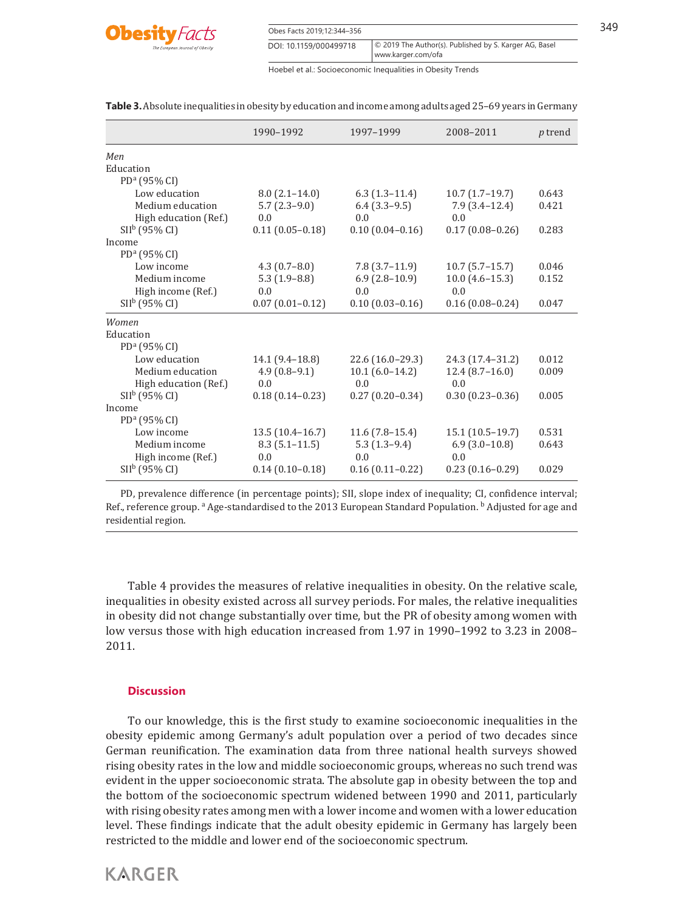

| Obes Facts 2019;12:344-356 |                                                                              | 349 |
|----------------------------|------------------------------------------------------------------------------|-----|
| DOI: 10.1159/000499718     | © 2019 The Author(s). Published by S. Karger AG, Basel<br>www.karger.com/ofa |     |
|                            | Hoebel et al.: Socioeconomic Inequalities in Obesity Trends                  |     |

1990–1992 1997–1999 2008–2011 *p* trend *Men* Education PDa (95% CI) Low education  $8.0 (2.1-14.0)$   $6.3 (1.3-11.4)$   $10.7 (1.7-19.7)$   $0.643$ <br>Medium education  $5.7 (2.3-9.0)$   $6.4 (3.3-9.5)$   $7.9 (3.4-12.4)$   $0.421$ Medium education  $5.7 (2.3-9.0)$   $6.4 (3.3-9.5)$   $7.9$ <br>High education (Ref.)  $0.0$   $0.0$   $0.0$ High education (Ref.)  $0.0$  0.0 0.0 0.0<br>SII<sup>b</sup> (95% CI) 0.11 (0.05–0.18) 0.10 (0.04–0.16) 0.17 (0.08–0.26)  $0.10 (0.04 - 0.16)$   $0.17 (0.08 - 0.26)$  0.283 Income PDa (95% CI) Low income  $4.3 \times (0.7 - 8.0)$   $7.8 \times (3.7 - 11.9)$   $10.7 \times (5.7 - 15.7)$   $0.046$ Medium income 5.3 (1.9–8.8) 6.9 (2.8–10.9) 10.0 (4.6–15.3) 0.152<br>High income (Ref.) 0.0 0.0 0.0 0.0 High income (Ref.)  $0.0$   $0.0$   $0.0$   $0.0$   $0.0$   $0.0$   $0.0$   $0.03 - 0.16$   $0.08 - 0.24$  $0.07 (0.01 - 0.12)$   $0.10 (0.03 - 0.16)$   $0.16 (0.08 - 0.24)$  0.047 *Women* Education PDa (95% CI) Low education 14.1 (9.4–18.8) 22.6 (16.0–29.3) 24.3 (17.4–31.2) 0.012<br>Medium education 4.9 (0.8–9.1) 10.1 (6.0–14.2) 12.4 (8.7–16.0) 0.009 Medium education  $4.9 (0.8-9.1)$   $10.1 (6.0-14.2)$  12.4<br>High education (Ref.)  $0.0$  0.00 High education (Ref.)  $0.0$  0.0 0.0 0.0<br>SII<sup>b</sup> (95% CI) 0.18 (0.14–0.23) 0.27 (0.20–0.34) 0.30 (0.23–0.36)  $0.27 (0.20-0.34)$   $0.30 (0.23-0.36)$  0.005 Income PD<sup>a</sup> (95% CI) Low income 13.5 (10.4–16.7) 11.6 (7.8–15.4) 15.1 (10.5–19.7) 0.531<br>Medium income 8.3 (5.1–11.5) 5.3 (1.3–9.4) 6.9 (3.0–10.8) 0.643  $\begin{array}{ll}\n 8.3 \,(5.1-11.5) \\
0.0 \quad 0.0\n \end{array}$   $\begin{array}{ll}\n 5.3 \,(1.3-9.4) \\
0.0 \quad 0.0\n \end{array}$ High income (Ref.)  $0.0$   $0.0$   $0.0$   $0.0$   $0.0$   $0.0$   $0.0$   $0.0$   $0.0$   $0.0$   $0.0$   $0.0$   $0.0$   $0.0$   $0.0$   $0.0$   $0.0$   $0.0$   $0.0$   $0.0$   $0.0$   $0.0$   $0.0$   $0.0$   $0.0$   $0.0$   $0.0$   $0.0$   $0.0$   $0.0$   $0.0$   $0.0$   $0.0$   $0.0$  $0.14 (0.10 - 0.18)$   $0.16 (0.11 - 0.22)$   $0.23 (0.16 - 0.29)$  0.029

**Table 3.** Absolute inequalities in obesity by education and income among adults aged 25–69 years in Germany

PD, prevalence difference (in percentage points); SII, slope index of inequality; CI, confidence interval; Ref., reference group. <sup>a</sup> Age-standardised to the 2013 European Standard Population. <sup>b</sup> Adjusted for age and residential region.

Table 4 provides the measures of relative inequalities in obesity. On the relative scale, inequalities in obesity existed across all survey periods. For males, the relative inequalities in obesity did not change substantially over time, but the PR of obesity among women with low versus those with high education increased from 1.97 in 1990–1992 to 3.23 in 2008– 2011.

## **Discussion**

To our knowledge, this is the first study to examine socioeconomic inequalities in the obesity epidemic among Germany's adult population over a period of two decades since German reunification. The examination data from three national health surveys showed rising obesity rates in the low and middle socioeconomic groups, whereas no such trend was evident in the upper socioeconomic strata. The absolute gap in obesity between the top and the bottom of the socioeconomic spectrum widened between 1990 and 2011, particularly with rising obesity rates among men with a lower income and women with a lower education level. These findings indicate that the adult obesity epidemic in Germany has largely been restricted to the middle and lower end of the socioeconomic spectrum.

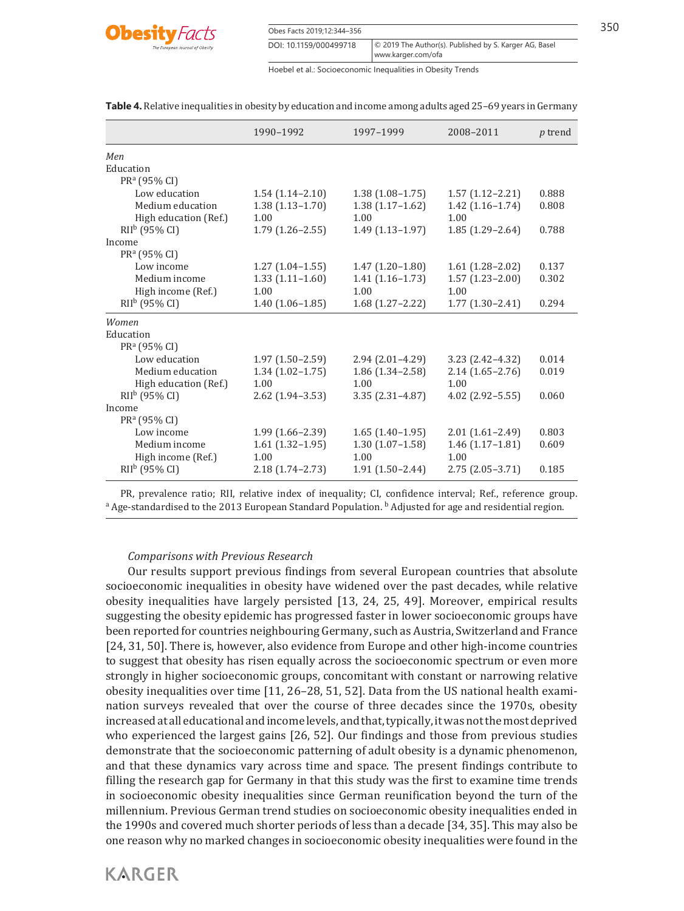

| Obes Facts 2019:12:344-356 |                                                                              | 350 |
|----------------------------|------------------------------------------------------------------------------|-----|
| DOI: 10.1159/000499718     | © 2019 The Author(s). Published by S. Karger AG, Basel<br>www.karger.com/ofa |     |

|                           | 1990-1992           | 1997-1999           | 2008-2011           | <i>p</i> trend |
|---------------------------|---------------------|---------------------|---------------------|----------------|
| Men                       |                     |                     |                     |                |
| Education                 |                     |                     |                     |                |
| PR <sup>a</sup> (95% CI)  |                     |                     |                     |                |
| Low education             | $1.54(1.14 - 2.10)$ | $1.38(1.08-1.75)$   | $1.57(1.12 - 2.21)$ | 0.888          |
| Medium education          | $1.38(1.13 - 1.70)$ | $1.38(1.17-1.62)$   | $1.42(1.16 - 1.74)$ | 0.808          |
| High education (Ref.)     | 1.00                | 1.00                | 1.00                |                |
| RII <sup>b</sup> (95% CI) | $1.79(1.26 - 2.55)$ | $1.49(1.13 - 1.97)$ | $1.85(1.29 - 2.64)$ | 0.788          |
| Income                    |                     |                     |                     |                |
| PR <sup>a</sup> (95% CI)  |                     |                     |                     |                |
| Low income                | $1.27(1.04-1.55)$   | $1.47(1.20-1.80)$   | $1.61(1.28-2.02)$   | 0.137          |
| Medium income             | $1.33(1.11 - 1.60)$ | $1.41(1.16 - 1.73)$ | $1.57(1.23 - 2.00)$ | 0.302          |
| High income (Ref.)        | 1.00                | 1.00                | 1.00                |                |
| RII <sup>b</sup> (95% CI) | $1.40(1.06 - 1.85)$ | $1.68(1.27 - 2.22)$ | $1.77(1.30 - 2.41)$ | 0.294          |
| Women                     |                     |                     |                     |                |
| Education                 |                     |                     |                     |                |
| PR <sup>a</sup> (95% CI)  |                     |                     |                     |                |
| Low education             | $1.97(1.50 - 2.59)$ | 2.94 (2.01-4.29)    | 3.23 (2.42–4.32)    | 0.014          |
| Medium education          | $1.34(1.02 - 1.75)$ | $1.86(1.34 - 2.58)$ | $2.14(1.65 - 2.76)$ | 0.019          |
| High education (Ref.)     | 1.00                | 1.00                | 1.00                |                |
| RII <sup>b</sup> (95% CI) | $2.62$ (1.94-3.53)  | $3.35(2.31 - 4.87)$ | $4.02$ (2.92-5.55)  | 0.060          |
| Income                    |                     |                     |                     |                |
| PR <sup>a</sup> (95% CI)  |                     |                     |                     |                |
| Low income                | $1.99(1.66 - 2.39)$ | $1.65(1.40-1.95)$   | $2.01(1.61 - 2.49)$ | 0.803          |
| Medium income             | $1.61(1.32-1.95)$   | $1.30(1.07-1.58)$   | $1.46(1.17-1.81)$   | 0.609          |
| High income (Ref.)        | 1.00                | 1.00                | 1.00                |                |
| $RIIb$ (95% CI)           | $2.18(1.74 - 2.73)$ | 1.91 (1.50-2.44)    | $2.75(2.05-3.71)$   | 0.185          |

**Table 4.** Relative inequalities in obesity by education and income among adults aged 25–69 years in Germany

PR, prevalence ratio; RII, relative index of inequality; CI, confidence interval; Ref., reference group. <br><sup>a</sup> Age-standardised to the 2013 European Standard Population. <sup>b</sup> Adjusted for age and residential region.

#### *Comparisons with Previous Research*

Our results support previous findings from several European countries that absolute socioeconomic inequalities in obesity have widened over the past decades, while relative obesity inequalities have largely persisted [13, 24, 25, 49]. Moreover, empirical results suggesting the obesity epidemic has progressed faster in lower socioeconomic groups have been reported for countries neighbouring Germany, such as Austria, Switzerland and France [24, 31, 50]. There is, however, also evidence from Europe and other high-income countries to suggest that obesity has risen equally across the socioeconomic spectrum or even more strongly in higher socioeconomic groups, concomitant with constant or narrowing relative obesity inequalities over time [11, 26–28, 51, 52]. Data from the US national health examination surveys revealed that over the course of three decades since the 1970s, obesity increased at all educational and income levels, and that, typically, it was not the most deprived who experienced the largest gains [26, 52]. Our findings and those from previous studies demonstrate that the socioeconomic patterning of adult obesity is a dynamic phenomenon, and that these dynamics vary across time and space. The present findings contribute to filling the research gap for Germany in that this study was the first to examine time trends in socioeconomic obesity inequalities since German reunification beyond the turn of the millennium. Previous German trend studies on socioeconomic obesity inequalities ended in the 1990s and covered much shorter periods of less than a decade [34, 35]. This may also be one reason why no marked changes in socioeconomic obesity inequalities were found in the

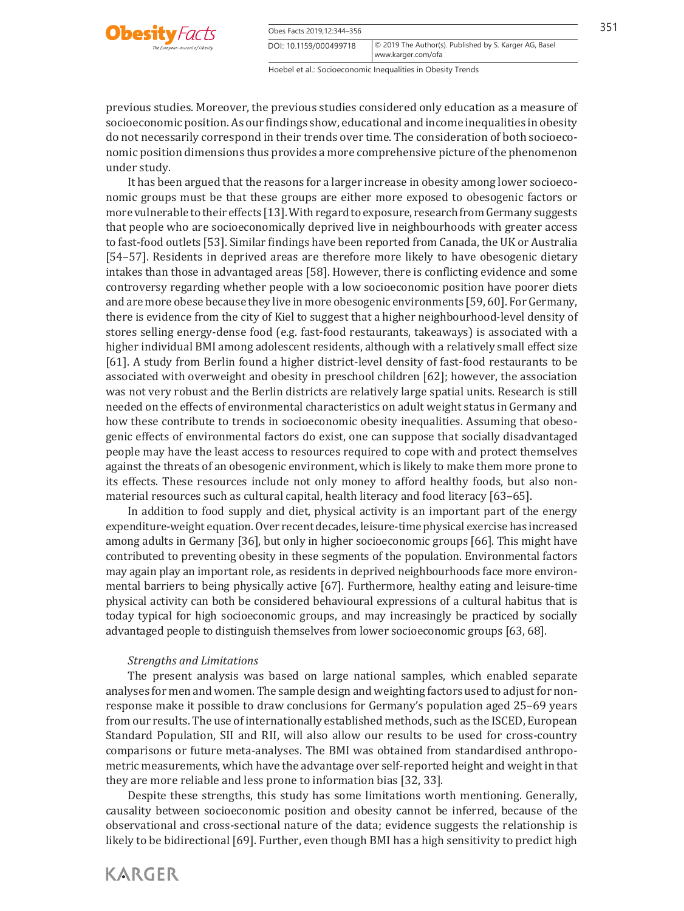



www.karger.com/ofa DOI: 10.1159/000499718 © 2019 The Author(s). Published by S. Karger AG, Basel

Hoebel et al.: Socioeconomic Inequalities in Obesity Trends

previous studies. Moreover, the previous studies considered only education as a measure of socioeconomic position. As our findings show, educational and income inequalities in obesity do not necessarily correspond in their trends over time. The consideration of both socioeconomic position dimensions thus provides a more comprehensive picture of the phenomenon under study.

It has been argued that the reasons for a larger increase in obesity among lower socioeconomic groups must be that these groups are either more exposed to obesogenic factors or more vulnerable to their effects [13]. With regard to exposure, research from Germany suggests that people who are socioeconomically deprived live in neighbourhoods with greater access to fast-food outlets [53]. Similar findings have been reported from Canada, the UK or Australia [54–57]. Residents in deprived areas are therefore more likely to have obesogenic dietary intakes than those in advantaged areas [58]. However, there is conflicting evidence and some controversy regarding whether people with a low socioeconomic position have poorer diets and are more obese because they live in more obesogenic environments [59, 60]. For Germany, there is evidence from the city of Kiel to suggest that a higher neighbourhood-level density of stores selling energy-dense food (e.g. fast-food restaurants, takeaways) is associated with a higher individual BMI among adolescent residents, although with a relatively small effect size [61]. A study from Berlin found a higher district-level density of fast-food restaurants to be associated with overweight and obesity in preschool children [62]; however, the association was not very robust and the Berlin districts are relatively large spatial units. Research is still needed on the effects of environmental characteristics on adult weight status in Germany and how these contribute to trends in socioeconomic obesity inequalities. Assuming that obesogenic effects of environmental factors do exist, one can suppose that socially disadvantaged people may have the least access to resources required to cope with and protect themselves against the threats of an obesogenic environment, which is likely to make them more prone to its effects. These resources include not only money to afford healthy foods, but also nonmaterial resources such as cultural capital, health literacy and food literacy [63–65].

In addition to food supply and diet, physical activity is an important part of the energy expenditure-weight equation. Over recent decades, leisure-time physical exercise has increased among adults in Germany [36], but only in higher socioeconomic groups [66]. This might have contributed to preventing obesity in these segments of the population. Environmental factors may again play an important role, as residents in deprived neighbourhoods face more environmental barriers to being physically active [67]. Furthermore, healthy eating and leisure-time physical activity can both be considered behavioural expressions of a cultural habitus that is today typical for high socioeconomic groups, and may increasingly be practiced by socially advantaged people to distinguish themselves from lower socioeconomic groups [63, 68].

## *Strengths and Limitations*

**KARGER** 

The present analysis was based on large national samples, which enabled separate analyses for men and women. The sample design and weighting factors used to adjust for nonresponse make it possible to draw conclusions for Germany's population aged 25–69 years from our results. The use of internationally established methods, such as the ISCED, European Standard Population, SII and RII, will also allow our results to be used for cross-country comparisons or future meta-analyses. The BMI was obtained from standardised anthropometric measurements, which have the advantage over self-reported height and weight in that they are more reliable and less prone to information bias [32, 33].

Despite these strengths, this study has some limitations worth mentioning. Generally, causality between socioeconomic position and obesity cannot be inferred, because of the observational and cross-sectional nature of the data; evidence suggests the relationship is likely to be bidirectional [69]. Further, even though BMI has a high sensitivity to predict high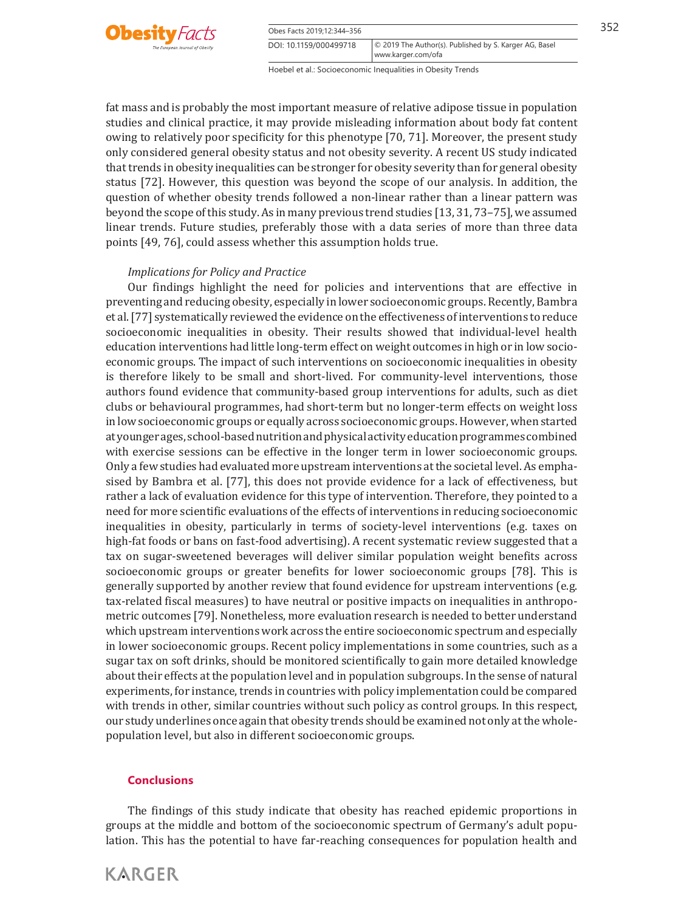

Obes Facts 2019;12:344–356 352

www.karger.com/ofa DOI: 10.1159/000499718 © 2019 The Author(s). Published by S. Karger AG, Basel

Hoebel et al.: Socioeconomic Inequalities in Obesity Trends

fat mass and is probably the most important measure of relative adipose tissue in population studies and clinical practice, it may provide misleading information about body fat content owing to relatively poor specificity for this phenotype [70, 71]. Moreover, the present study only considered general obesity status and not obesity severity. A recent US study indicated that trends in obesity inequalities can be stronger for obesity severity than for general obesity status [72]. However, this question was beyond the scope of our analysis. In addition, the question of whether obesity trends followed a non-linear rather than a linear pattern was beyond the scope of this study. As in many previous trend studies [13, 31, 73–75], we assumed linear trends. Future studies, preferably those with a data series of more than three data points [49, 76], could assess whether this assumption holds true.

## *Implications for Policy and Practice*

Our findings highlight the need for policies and interventions that are effective in preventing and reducing obesity, especially in lower socioeconomic groups. Recently, Bambra et al. [77] systematically reviewed the evidence on the effectiveness of interventions to reduce socioeconomic inequalities in obesity. Their results showed that individual-level health education interventions had little long-term effect on weight outcomes in high or in low socioeconomic groups. The impact of such interventions on socioeconomic inequalities in obesity is therefore likely to be small and short-lived. For community-level interventions, those authors found evidence that community-based group interventions for adults, such as diet clubs or behavioural programmes, had short-term but no longer-term effects on weight loss in low socioeconomic groups or equally across socioeconomic groups. However, when started at younger ages, school-based nutrition and physical activity education programmes combined with exercise sessions can be effective in the longer term in lower socioeconomic groups. Only a few studies had evaluated more upstream interventions at the societal level. As emphasised by Bambra et al. [77], this does not provide evidence for a lack of effectiveness, but rather a lack of evaluation evidence for this type of intervention. Therefore, they pointed to a need for more scientific evaluations of the effects of interventions in reducing socioeconomic inequalities in obesity, particularly in terms of society-level interventions (e.g. taxes on high-fat foods or bans on fast-food advertising). A recent systematic review suggested that a tax on sugar-sweetened beverages will deliver similar population weight benefits across socioeconomic groups or greater benefits for lower socioeconomic groups [78]. This is generally supported by another review that found evidence for upstream interventions (e.g. tax-related fiscal measures) to have neutral or positive impacts on inequalities in anthropometric outcomes [79]. Nonetheless, more evaluation research is needed to better understand which upstream interventions work across the entire socioeconomic spectrum and especially in lower socioeconomic groups. Recent policy implementations in some countries, such as a sugar tax on soft drinks, should be monitored scientifically to gain more detailed knowledge about their effects at the population level and in population subgroups. In the sense of natural experiments, for instance, trends in countries with policy implementation could be compared with trends in other, similar countries without such policy as control groups. In this respect, our study underlines once again that obesity trends should be examined not only at the wholepopulation level, but also in different socioeconomic groups.

## **Conclusions**

**KARGER** 

The findings of this study indicate that obesity has reached epidemic proportions in groups at the middle and bottom of the socioeconomic spectrum of Germany's adult population. This has the potential to have far-reaching consequences for population health and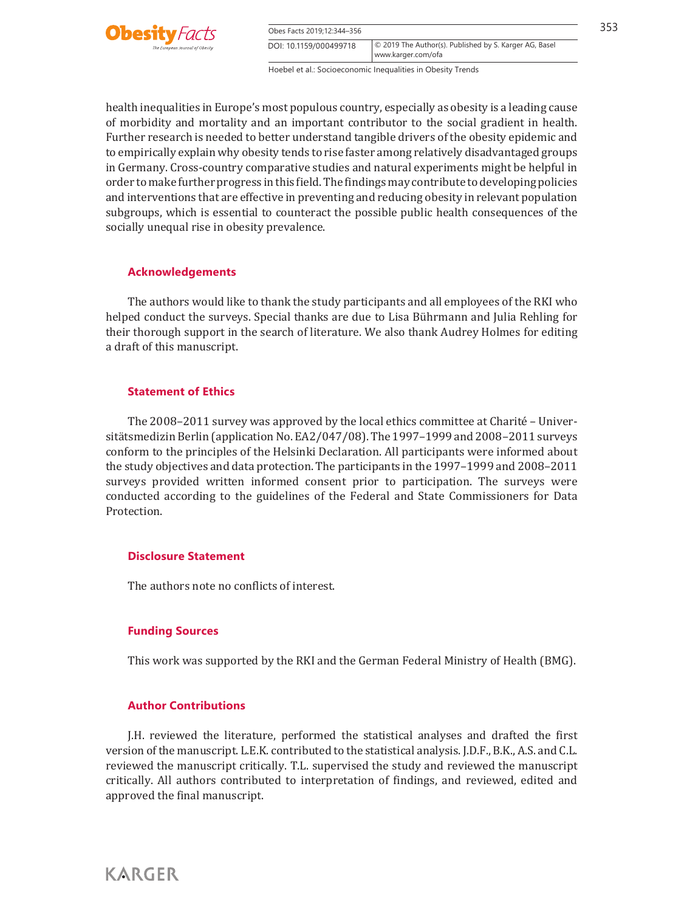

| Obes Facts 2019;12:344-356 |                                                        | 353 |
|----------------------------|--------------------------------------------------------|-----|
| DOI: 10.1159/000499718     | © 2019 The Author(s). Published by S. Karger AG, Basel |     |
|                            | www.karger.com/ofa                                     |     |

health inequalities in Europe's most populous country, especially as obesity is a leading cause of morbidity and mortality and an important contributor to the social gradient in health. Further research is needed to better understand tangible drivers of the obesity epidemic and to empirically explain why obesity tends to rise faster among relatively disadvantaged groups in Germany. Cross-country comparative studies and natural experiments might be helpful in order to make further progress in this field. The findings may contribute to developing policies and interventions that are effective in preventing and reducing obesity in relevant population subgroups, which is essential to counteract the possible public health consequences of the socially unequal rise in obesity prevalence.

## **Acknowledgements**

The authors would like to thank the study participants and all employees of the RKI who helped conduct the surveys. Special thanks are due to Lisa Bührmann and Julia Rehling for their thorough support in the search of literature. We also thank Audrey Holmes for editing a draft of this manuscript.

# **Statement of Ethics**

The 2008–2011 survey was approved by the local ethics committee at Charité – Universitätsmedizin Berlin (application No. EA2/047/08). The 1997–1999 and 2008–2011 surveys conform to the principles of the Helsinki Declaration. All participants were informed about the study objectives and data protection. The participants in the 1997–1999 and 2008–2011 surveys provided written informed consent prior to participation. The surveys were conducted according to the guidelines of the Federal and State Commissioners for Data Protection.

## **Disclosure Statement**

The authors note no conflicts of interest.

## **Funding Sources**

This work was supported by the RKI and the German Federal Ministry of Health (BMG).

# **Author Contributions**

**KARGER** 

J.H. reviewed the literature, performed the statistical analyses and drafted the first version of the manuscript. L.E.K. contributed to the statistical analysis. J.D.F., B.K., A.S. and C.L. reviewed the manuscript critically. T.L. supervised the study and reviewed the manuscript critically. All authors contributed to interpretation of findings, and reviewed, edited and approved the final manuscript.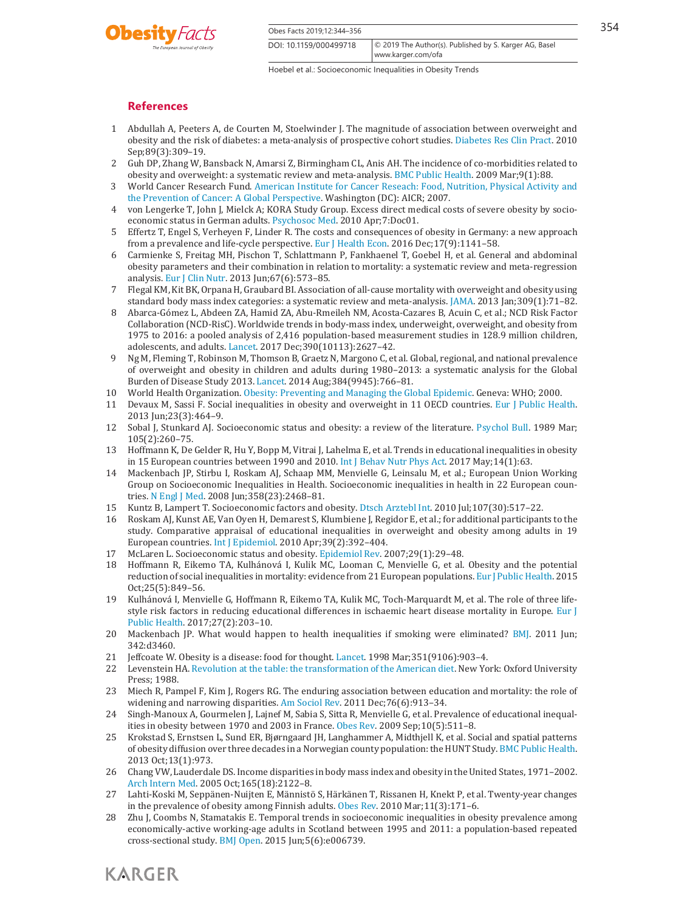



www.karger.com/ofa DOI: 10.1159/000499718 © 2019 The Author(s). Published by S. Karger AG, Basel

Hoebel et al.: Socioeconomic Inequalities in Obesity Trends

## **References**

- 1 Abdullah A, Peeters A, de Courten M, Stoelwinder J. The magnitude of association between overweight and obesity and the risk of diabetes: a meta-analysis of prospective cohort studies. Diabetes Res Clin Pract. 2010 Sep;89(3):309–19.
- 2 Guh DP, Zhang W, Bansback N, Amarsi Z, Birmingham CL, Anis AH. The incidence of co-morbidities related to obesity and overweight: a systematic review and meta-analysis. BMC Public Health. 2009 Mar;9(1):88.
- 3 World Cancer Research Fund. American Institute for Cancer Reseach: Food, Nutrition, Physical Activity and the Prevention of Cancer: A Global Perspective. Washington (DC): AICR; 2007.
- von Lengerke T, John J, Mielck A; KORA Study Group. Excess direct medical costs of severe obesity by socioeconomic status in German adults. Psychosoc Med. 2010 Apr;7:Doc01.
- 5 Effertz T, Engel S, Verheyen F, Linder R. The costs and consequences of obesity in Germany: a new approach from a prevalence and life-cycle perspective. Eur J Health Econ. 2016 Dec; 17(9): 1141-58.
- 6 Carmienke S, Freitag MH, Pischon T, Schlattmann P, Fankhaenel T, Goebel H, et al. General and abdominal obesity parameters and their combination in relation to mortality: a systematic review and meta-regression analysis. Eur J Clin Nutr. 2013 Jun;67(6):573–85.
- 7 Flegal KM, Kit BK, OrpanaH, Graubard BI. Association of all-cause mortality with overweight and obesity using standard body mass index categories: a systematic review and meta-analysis. JAMA. 2013 Jan;309(1):71–82.
- 8 Abarca-Gómez L, Abdeen ZA, Hamid ZA, Abu-Rmeileh NM, Acosta-Cazares B, Acuin C, et al.; NCD Risk Factor Collaboration (NCD-RisC). Worldwide trends in body-mass index, underweight, overweight, and obesity from 1975 to 2016: a pooled analysis of 2,416 population-based measurement studies in 128.9 million children, adolescents, and adults. Lancet. 2017 Dec;390(10113):2627–42.
- 9 Ng M, Fleming T, Robinson M, Thomson B, Graetz N, Margono C, et al. Global, regional, and national prevalence of overweight and obesity in children and adults during 1980–2013: a systematic analysis for the Global Burden of Disease Study 2013. Lancet. 2014 Aug;384(9945):766–81.
- 10 World Health Organization. Obesity: Preventing and Managing the Global Epidemic. Geneva: WHO; 2000.
- 11 Devaux M, Sassi F. Social inequalities in obesity and overweight in 11 OECD countries. Eur J Public Health. 2013 Jun;23(3):464–9.
- 12 Sobal J, Stunkard AJ. Socioeconomic status and obesity: a review of the literature. Psychol Bull. 1989 Mar; 105(2):260–75.
- 13 Hoffmann K, De Gelder R, Hu Y, Bopp M, Vitrai J, Lahelma E, et al. Trends in educational inequalities in obesity in 15 European countries between 1990 and 2010. Int J Behav Nutr Phys Act. 2017 May;14(1):63.
- 14 Mackenbach JP, Stirbu I, Roskam AJ, Schaap MM, Menvielle G, Leinsalu M, et al.; European Union Working Group on Socioeconomic Inequalities in Health. Socioeconomic inequalities in health in 22 European countries. N Engl J Med. 2008 Jun;358(23):2468–81.
- 15 Kuntz B, Lampert T. Socioeconomic factors and obesity. Dtsch Arztebl Int. 2010 Jul;107(30):517–22.
- 16 Roskam AJ, Kunst AE, Van Oyen H, Demarest S, Klumbiene J, Regidor E, et al.; for additional participants to the study. Comparative appraisal of educational inequalities in overweight and obesity among adults in 19 European countries. Int J Epidemiol. 2010 Apr;39(2):392–404.
- 17 McLaren L. Socioeconomic status and obesity. Epidemiol Rev. 2007;29(1):29–48.
- 18 Hoffmann R, Eikemo TA, Kulhánová I, Kulik MC, Looman C, Menvielle G, et al. Obesity and the potential reduction of social inequalities in mortality: evidence from 21 European populations. Eur J Public Health. 2015 Oct;25(5):849–56.
- 19 Kulhánová I, Menvielle G, Hoffmann R, Eikemo TA, Kulik MC, Toch-Marquardt M, et al. The role of three lifestyle risk factors in reducing educational differences in ischaemic heart disease mortality in Europe. Eur J Public Health. 2017;27(2):203–10.
- 20 Mackenbach JP. What would happen to health inequalities if smoking were eliminated? BMJ. 2011 Jun; 342:d3460.
- 21 Jeffcoate W. Obesity is a disease: food for thought. Lancet. 1998 Mar; 351(9106): 903–4.<br>22 Jevenstein HA, Revolution at the table: the transformation of the American diet. New Yo
- 22 Levenstein HA. Revolution at the table: the transformation of the American diet. New York: Oxford University Press; 1988.
- 23 Miech R, Pampel F, Kim J, Rogers RG. The enduring association between education and mortality: the role of widening and narrowing disparities. Am Sociol Rev. 2011 Dec;76(6):913–34.
- 24 Singh-Manoux A, Gourmelen J, Lajnef M, Sabia S, Sitta R, Menvielle G, et al. Prevalence of educational inequalities in obesity between 1970 and 2003 in France. Obes Rev. 2009 Sep;10(5):511–8.
- 25 Krokstad S, Ernstsen L, Sund ER, Bjørngaard JH, Langhammer A, Midthjell K, et al. Social and spatial patterns of obesity diffusion over three decades in a Norwegian county population: the HUNT Study. BMC Public Health. 2013 Oct;13(1):973.
- 26 Chang VW, LauderdaleDS.Income disparities in body mass index and obesity in the United States, 1971–2002. Arch Intern Med. 2005 Oct;165(18):2122–8.
- 27 Lahti-Koski M, Seppänen-Nuijten E, Männistö S, Härkänen T, Rissanen H, Knekt P, et al. Twenty-year changes in the prevalence of obesity among Finnish adults. Obes Rev. 2010 Mar;11(3):171–6.
- 28 Zhu J, Coombs N, Stamatakis E. Temporal trends in socioeconomic inequalities in obesity prevalence among economically-active working-age adults in Scotland between 1995 and 2011: a population-based repeated cross-sectional study. BMJ Open. 2015 Jun;5(6):e006739.

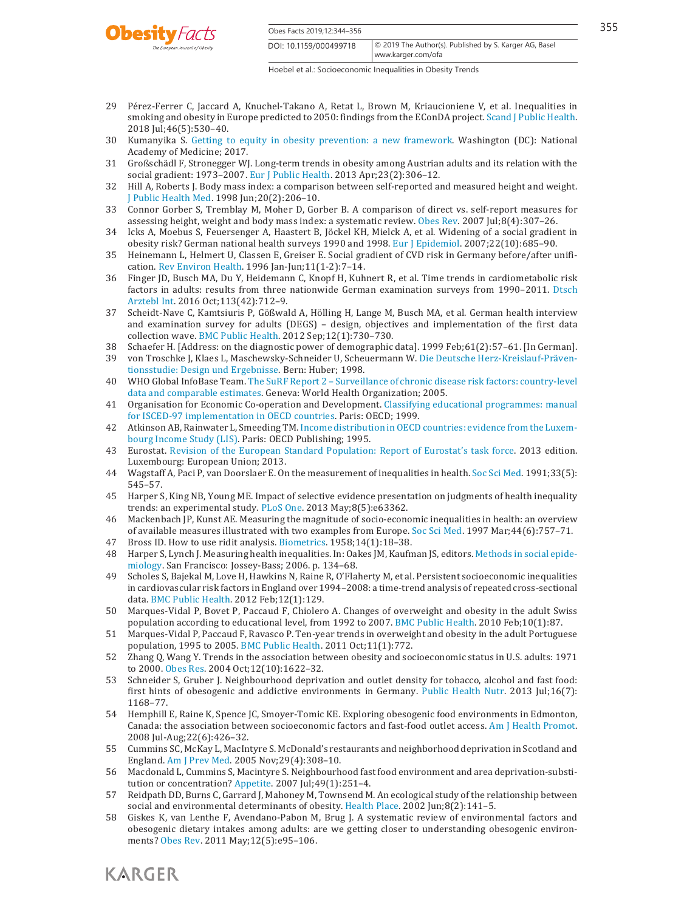



www.karger.com/ofa DOI: 10.1159/000499718 © 2019 The Author(s). Published by S. Karger AG, Basel

Hoebel et al.: Socioeconomic Inequalities in Obesity Trends

- 29 Pérez-Ferrer C, Jaccard A, Knuchel-Takano A, Retat L, Brown M, Kriaucioniene V, et al. Inequalities in smoking and obesity in Europe predicted to 2050: findings from the EConDA project. Scand J Public Health. 2018 Jul;46(5):530–40.
- 30 Kumanyika S. Getting to equity in obesity prevention: a new framework. Washington (DC): National Academy of Medicine; 2017.
- 31 Großschädl F, Stronegger WJ. Long-term trends in obesity among Austrian adults and its relation with the social gradient: 1973–2007. Eur J Public Health. 2013 Apr;23(2):306–12.
- 32 Hill A, Roberts J. Body mass index: a comparison between self-reported and measured height and weight. J Public Health Med. 1998 Jun;20(2):206–10.
- 33 Connor Gorber S, Tremblay M, Moher D, Gorber B. A comparison of direct vs. self-report measures for assessing height, weight and body mass index: a systematic review. Obes Rev. 2007 Jul;8(4):307–26.
- 34 Icks A, Moebus S, Feuersenger A, Haastert B, Jöckel KH, Mielck A, et al. Widening of a social gradient in obesity risk? German national health surveys 1990 and 1998. Eur J Epidemiol. 2007;22(10):685–90.
- 35 Heinemann L, Helmert U, Classen E, Greiser E. Social gradient of CVD risk in Germany before/after unification. Rev Environ Health. 1996 Jan-Jun;11(1-2):7–14.
- 36 Finger JD, Busch MA, Du Y, Heidemann C, Knopf H, Kuhnert R, et al. Time trends in cardiometabolic risk factors in adults: results from three nationwide German examination surveys from 1990–2011. Dtsch Arztebl Int. 2016 Oct;113(42):712–9.
- 37 Scheidt-Nave C, Kamtsiuris P, Gößwald A, Hölling H, Lange M, Busch MA, et al. German health interview and examination survey for adults (DEGS) – design, objectives and implementation of the first data collection wave. BMC Public Health. 2012 Sep;12(1):730–730.
- 38 Schaefer H. [Address: on the diagnostic power of demographic data]. 1999 Feb; 61(2): 57–61. [In German].<br>39 von Troschke L Klaes L. Maschewsky-Schneider U. Scheuermann W. Die Deutsche Herz-Kreislauf-Präven-
- 39 von Troschke J, Klaes L, Maschewsky-Schneider U, Scheuermann W. Die Deutsche Herz-Kreislauf-Präventionsstudie: Design und Ergebnisse. Bern: Huber; 1998.
- 40 WHO Global InfoBase Team. The SuRF Report 2 Surveillance of chronic disease risk factors: country-level data and comparable estimates. Geneva: World Health Organization; 2005.
- 41 Organisation for Economic Co-operation and Development. Classifying educational programmes: manual for ISCED-97 implementation in OECD countries. Paris: OECD; 1999.
- 42 Atkinson AB, Rainwater L, Smeeding TM. Income distribution in OECD countries: evidence from the Luxembourg Income Study (LIS). Paris: OECD Publishing; 1995.
- 43 Eurostat. Revision of the European Standard Population: Report of Eurostat's task force. 2013 edition. Luxembourg: European Union; 2013.
- 44 Wagstaff A, Paci P, van Doorslaer E. On the measurement of inequalities in health. Soc Sci Med. 1991;33(5): 545–57.
- 45 Harper S, King NB, Young ME. Impact of selective evidence presentation on judgments of health inequality trends: an experimental study. PLoS One. 2013 May;8(5):e63362.
- 46 Mackenbach JP, Kunst AE. Measuring the magnitude of socio-economic inequalities in health: an overview of available measures illustrated with two examples from Europe. Soc Sci Med. 1997 Mar;44(6):757–71.
- 47 Bross ID. How to use ridit analysis. Biometrics. 1958;14(1):18–38.<br>48 Harper S. Lynch I. Measuring health inequalities. In: Oakes IM. Kaufn
- Harper S, Lynch J. Measuring health inequalities. In: Oakes JM, Kaufman JS, editors. Methods in social epidemiology. San Francisco: Jossey-Bass; 2006. p. 134–68.
- 49 Scholes S, Bajekal M, Love H, Hawkins N, Raine R, O'Flaherty M, et al. Persistent socioeconomic inequalities in cardiovascular risk factors in England over 1994–2008: a time-trend analysis of repeated cross-sectional data. BMC Public Health. 2012 Feb;12(1):129.
- 50 Marques-Vidal P, Bovet P, Paccaud F, Chiolero A. Changes of overweight and obesity in the adult Swiss population according to educational level, from 1992 to 2007. BMC Public Health. 2010 Feb;10(1):87.
- 51 Marques-Vidal P, Paccaud F, Ravasco P. Ten-year trends in overweight and obesity in the adult Portuguese population, 1995 to 2005. BMC Public Health. 2011 Oct;11(1):772.
- 52 Zhang Q, Wang Y. Trends in the association between obesity and socioeconomic status in U.S. adults: 1971 to 2000. Obes Res. 2004 Oct;12(10):1622–32.
- 53 Schneider S, Gruber J. Neighbourhood deprivation and outlet density for tobacco, alcohol and fast food: first hints of obesogenic and addictive environments in Germany. Public Health Nutr. 2013 Jul;16(7): 1168–77.
- 54 Hemphill E, Raine K, Spence JC, Smoyer-Tomic KE. Exploring obesogenic food environments in Edmonton, Canada: the association between socioeconomic factors and fast-food outlet access. Am J Health Promot. 2008 Jul-Aug;22(6):426–32.
- 55 Cummins SC, McKay L, MacIntyre S. McDonald's restaurants and neighborhood deprivation in Scotland and England. Am J Prev Med. 2005 Nov;29(4):308–10.
- 56 Macdonald L, Cummins S, Macintyre S. Neighbourhood fast food environment and area deprivation-substitution or concentration? Appetite. 2007 Jul;49(1):251–4.
- 57 Reidpath DD, Burns C, Garrard J, Mahoney M, Townsend M. An ecological study of the relationship between social and environmental determinants of obesity. Health Place. 2002 Jun;8(2):141–5.
- 58 Giskes K, van Lenthe F, Avendano-Pabon M, Brug J. A systematic review of environmental factors and obesogenic dietary intakes among adults: are we getting closer to understanding obesogenic environments? Obes Rev. 2011 May;12(5):e95–106.